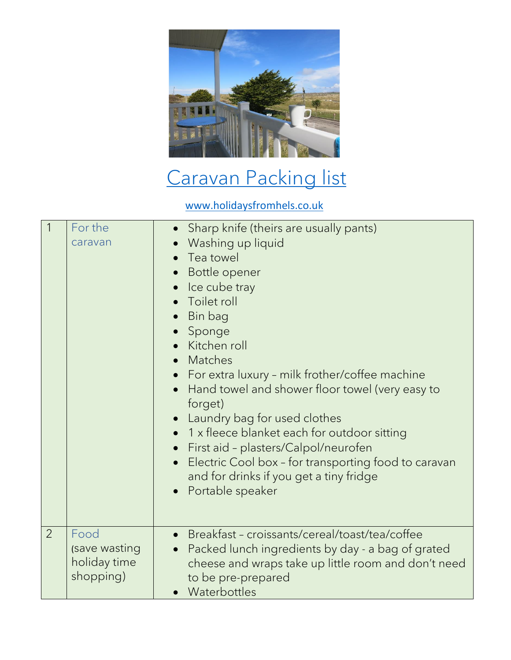

## [Caravan Packing list](https://www.holidaysfromhels.co.uk/2021/04/29/caravan-holidays/)

[www.holidaysfromhels.co.uk](http://www.holidaysfromhels.co.uk/)

| $\overline{1}$ | For the<br>caravan                                 | Sharp knife (theirs are usually pants)<br>Washing up liquid<br>Tea towel<br>$\bullet$<br>• Bottle opener<br>• Ice cube tray<br>Toilet roll<br>Bin bag<br>• Sponge<br>• Kitchen roll<br>Matches<br>$\bullet$<br>• For extra luxury - milk frother/coffee machine<br>Hand towel and shower floor towel (very easy to<br>forget)<br>Laundry bag for used clothes<br>1 x fleece blanket each for outdoor sitting<br>• First aid - plasters/Calpol/neurofen<br>Electric Cool box - for transporting food to caravan<br>and for drinks if you get a tiny fridge<br>Portable speaker |
|----------------|----------------------------------------------------|-------------------------------------------------------------------------------------------------------------------------------------------------------------------------------------------------------------------------------------------------------------------------------------------------------------------------------------------------------------------------------------------------------------------------------------------------------------------------------------------------------------------------------------------------------------------------------|
| $\overline{2}$ | Food<br>(save wasting<br>holiday time<br>shopping) | Breakfast - croissants/cereal/toast/tea/coffee<br>Packed lunch ingredients by day - a bag of grated<br>$\bullet$<br>cheese and wraps take up little room and don't need<br>to be pre-prepared<br>• Waterbottles                                                                                                                                                                                                                                                                                                                                                               |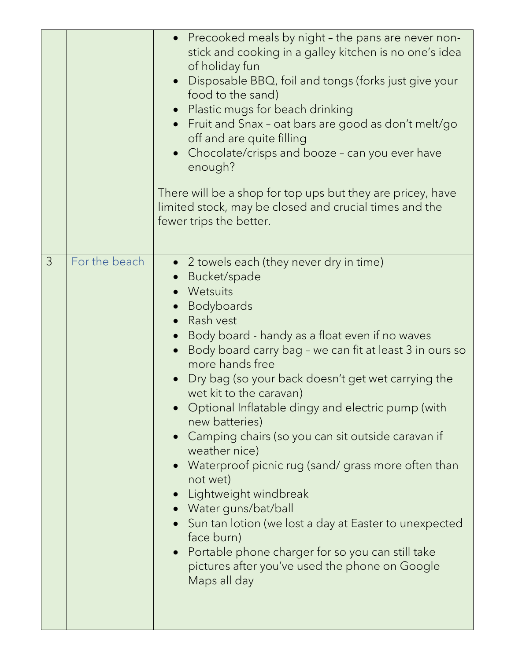|               |               | • Precooked meals by night - the pans are never non-<br>stick and cooking in a galley kitchen is no one's idea<br>of holiday fun<br>• Disposable BBQ, foil and tongs (forks just give your<br>food to the sand)<br>• Plastic mugs for beach drinking<br>Fruit and Snax - oat bars are good as don't melt/go<br>off and are quite filling<br>Chocolate/crisps and booze - can you ever have<br>enough?<br>There will be a shop for top ups but they are pricey, have<br>limited stock, may be closed and crucial times and the<br>fewer trips the better.                                                                                                                                                                                                                                               |
|---------------|---------------|--------------------------------------------------------------------------------------------------------------------------------------------------------------------------------------------------------------------------------------------------------------------------------------------------------------------------------------------------------------------------------------------------------------------------------------------------------------------------------------------------------------------------------------------------------------------------------------------------------------------------------------------------------------------------------------------------------------------------------------------------------------------------------------------------------|
| $\mathcal{S}$ | For the beach | • 2 towels each (they never dry in time)<br>Bucket/spade<br>• Wetsuits<br>• Bodyboards<br>• Rash vest<br>• Body board - handy as a float even if no waves<br>Body board carry bag - we can fit at least 3 in ours so<br>more hands free<br>Dry bag (so your back doesn't get wet carrying the<br>wet kit to the caravan)<br>Optional Inflatable dingy and electric pump (with<br>new batteries)<br>• Camping chairs (so you can sit outside caravan if<br>weather nice)<br>Waterproof picnic rug (sand/grass more often than<br>not wet)<br>Lightweight windbreak<br>• Water guns/bat/ball<br>• Sun tan lotion (we lost a day at Easter to unexpected<br>face burn)<br>Portable phone charger for so you can still take<br>$\bullet$<br>pictures after you've used the phone on Google<br>Maps all day |